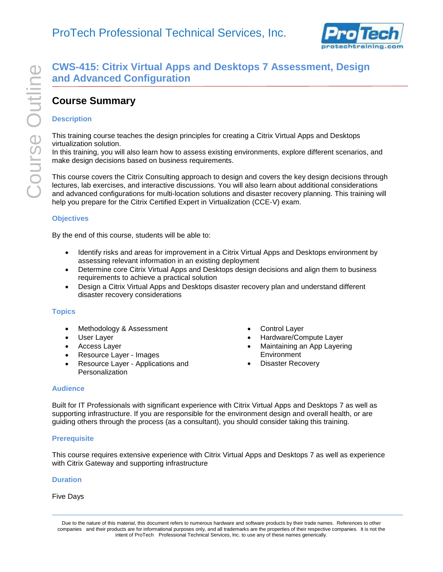

# **CWS-415: Citrix Virtual Apps and Desktops 7 Assessment, Design and Advanced Configuration**

## **Course Summary**

## **Description**

This training course teaches the design principles for creating a Citrix Virtual Apps and Desktops virtualization solution.

In this training, you will also learn how to assess existing environments, explore different scenarios, and make design decisions based on business requirements.

This course covers the Citrix Consulting approach to design and covers the key design decisions through lectures, lab exercises, and interactive discussions. You will also learn about additional considerations and advanced configurations for multi-location solutions and disaster recovery planning. This training will help you prepare for the Citrix Certified Expert in Virtualization (CCE-V) exam.

### **Objectives**

By the end of this course, students will be able to:

- Identify risks and areas for improvement in a Citrix Virtual Apps and Desktops environment by assessing relevant information in an existing deployment
- Determine core Citrix Virtual Apps and Desktops design decisions and align them to business requirements to achieve a practical solution
- Design a Citrix Virtual Apps and Desktops disaster recovery plan and understand different disaster recovery considerations

### **Topics**

- Methodology & Assessment
- User Layer
- Access Layer
- Resource Layer Images
- Resource Layer Applications and Personalization
- Control Layer
- Hardware/Compute Layer
- Maintaining an App Layering **Environment**
- Disaster Recovery

### **Audience**

Built for IT Professionals with significant experience with Citrix Virtual Apps and Desktops 7 as well as supporting infrastructure. If you are responsible for the environment design and overall health, or are guiding others through the process (as a consultant), you should consider taking this training.

### **Prerequisite**

This course requires extensive experience with Citrix Virtual Apps and Desktops 7 as well as experience with Citrix Gateway and supporting infrastructure

### **Duration**

## Five Days

Due to the nature of this material, this document refers to numerous hardware and software products by their trade names. References to other companies and their products are for informational purposes only, and all trademarks are the properties of their respective companies. It is not the intent of ProTech Professional Technical Services, Inc. to use any of these names generically.